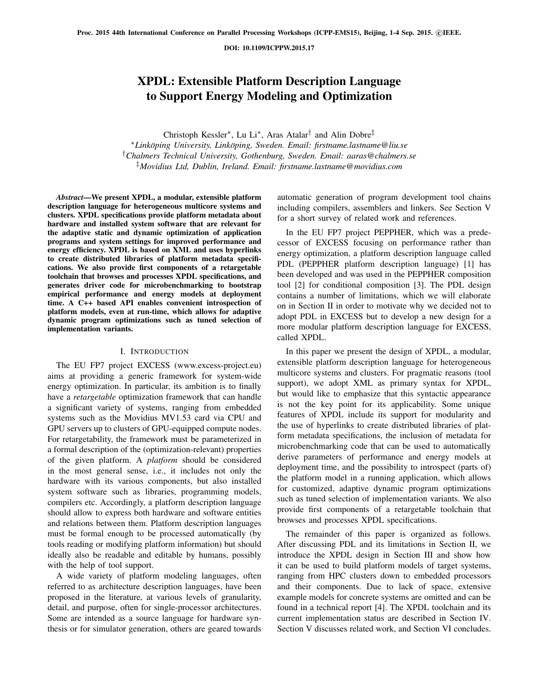DOI: 10.1109/ICPPW.2015.17

# XPDL: Extensible Platform Description Language to Support Energy Modeling and Optimization

Christoph Kessler<sup>∗</sup> , Lu Li<sup>∗</sup> , Aras Atalar† and Alin Dobre‡

<sup>∗</sup>*Linkoping University, Link ¨ oping, Sweden. Email: firstname.lastname@liu.se ¨* †*Chalmers Technical University, Gothenburg, Sweden. Email: aaras@chalmers.se* ‡*Movidius Ltd, Dublin, Ireland. Email: firstname.lastname@movidius.com*

*Abstract*—We present XPDL, a modular, extensible platform description language for heterogeneous multicore systems and clusters. XPDL specifications provide platform metadata about hardware and installed system software that are relevant for the adaptive static and dynamic optimization of application programs and system settings for improved performance and energy efficiency. XPDL is based on XML and uses hyperlinks to create distributed libraries of platform metadata specifications. We also provide first components of a retargetable toolchain that browses and processes XPDL specifications, and generates driver code for microbenchmarking to bootstrap empirical performance and energy models at deployment time. A C++ based API enables convenient introspection of platform models, even at run-time, which allows for adaptive dynamic program optimizations such as tuned selection of implementation variants.

#### I. INTRODUCTION

The EU FP7 project EXCESS (www.excess-project.eu) aims at providing a generic framework for system-wide energy optimization. In particular, its ambition is to finally have a *retargetable* optimization framework that can handle a significant variety of systems, ranging from embedded systems such as the Movidius MV1.53 card via CPU and GPU servers up to clusters of GPU-equipped compute nodes. For retargetability, the framework must be parameterized in a formal description of the (optimization-relevant) properties of the given platform. A *platform* should be considered in the most general sense, i.e., it includes not only the hardware with its various components, but also installed system software such as libraries, programming models, compilers etc. Accordingly, a platform description language should allow to express both hardware and software entities and relations between them. Platform description languages must be formal enough to be processed automatically (by tools reading or modifying platform information) but should ideally also be readable and editable by humans, possibly with the help of tool support.

A wide variety of platform modeling languages, often referred to as architecture description languages, have been proposed in the literature, at various levels of granularity, detail, and purpose, often for single-processor architectures. Some are intended as a source language for hardware synthesis or for simulator generation, others are geared towards automatic generation of program development tool chains including compilers, assemblers and linkers. See Section V for a short survey of related work and references.

In the EU FP7 project PEPPHER, which was a predecessor of EXCESS focusing on performance rather than energy optimization, a platform description language called PDL (PEPPHER platform description language) [1] has been developed and was used in the PEPPHER composition tool [2] for conditional composition [3]. The PDL design contains a number of limitations, which we will elaborate on in Section II in order to motivate why we decided not to adopt PDL in EXCESS but to develop a new design for a more modular platform description language for EXCESS, called XPDL.

In this paper we present the design of XPDL, a modular, extensible platform description language for heterogeneous multicore systems and clusters. For pragmatic reasons (tool support), we adopt XML as primary syntax for XPDL, but would like to emphasize that this syntactic appearance is not the key point for its applicability. Some unique features of XPDL include its support for modularity and the use of hyperlinks to create distributed libraries of platform metadata specifications, the inclusion of metadata for microbenchmarking code that can be used to automatically derive parameters of performance and energy models at deployment time, and the possibility to introspect (parts of) the platform model in a running application, which allows for customized, adaptive dynamic program optimizations such as tuned selection of implementation variants. We also provide first components of a retargetable toolchain that browses and processes XPDL specifications.

The remainder of this paper is organized as follows. After discussing PDL and its limitations in Section II, we introduce the XPDL design in Section III and show how it can be used to build platform models of target systems, ranging from HPC clusters down to embedded processors and their components. Due to lack of space, extensive example models for concrete systems are omitted and can be found in a technical report [4]. The XPDL toolchain and its current implementation status are described in Section IV. Section V discusses related work, and Section VI concludes.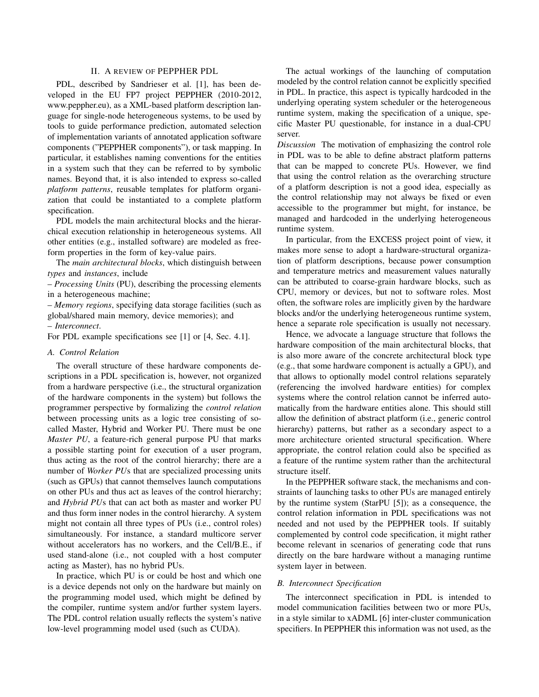## II. A REVIEW OF PEPPHER PDL

PDL, described by Sandrieser et al. [1], has been developed in the EU FP7 project PEPPHER (2010-2012, www.peppher.eu), as a XML-based platform description language for single-node heterogeneous systems, to be used by tools to guide performance prediction, automated selection of implementation variants of annotated application software components ("PEPPHER components"), or task mapping. In particular, it establishes naming conventions for the entities in a system such that they can be referred to by symbolic names. Beyond that, it is also intended to express so-called *platform patterns*, reusable templates for platform organization that could be instantiated to a complete platform specification.

PDL models the main architectural blocks and the hierarchical execution relationship in heterogeneous systems. All other entities (e.g., installed software) are modeled as freeform properties in the form of key-value pairs.

The *main architectural blocks*, which distinguish between *types* and *instances*, include

– *Processing Units* (PU), describing the processing elements in a heterogeneous machine;

– *Memory regions*, specifying data storage facilities (such as global/shared main memory, device memories); and

– *Interconnect*.

For PDL example specifications see [1] or [4, Sec. 4.1].

#### *A. Control Relation*

The overall structure of these hardware components descriptions in a PDL specification is, however, not organized from a hardware perspective (i.e., the structural organization of the hardware components in the system) but follows the programmer perspective by formalizing the *control relation* between processing units as a logic tree consisting of socalled Master, Hybrid and Worker PU. There must be one *Master PU*, a feature-rich general purpose PU that marks a possible starting point for execution of a user program, thus acting as the root of the control hierarchy; there are a number of *Worker PU*s that are specialized processing units (such as GPUs) that cannot themselves launch computations on other PUs and thus act as leaves of the control hierarchy; and *Hybrid PU*s that can act both as master and worker PU and thus form inner nodes in the control hierarchy. A system might not contain all three types of PUs (i.e., control roles) simultaneously. For instance, a standard multicore server without accelerators has no workers, and the Cell/B.E., if used stand-alone (i.e., not coupled with a host computer acting as Master), has no hybrid PUs.

In practice, which PU is or could be host and which one is a device depends not only on the hardware but mainly on the programming model used, which might be defined by the compiler, runtime system and/or further system layers. The PDL control relation usually reflects the system's native low-level programming model used (such as CUDA).

The actual workings of the launching of computation modeled by the control relation cannot be explicitly specified in PDL. In practice, this aspect is typically hardcoded in the underlying operating system scheduler or the heterogeneous runtime system, making the specification of a unique, specific Master PU questionable, for instance in a dual-CPU server.

*Discussion* The motivation of emphasizing the control role in PDL was to be able to define abstract platform patterns that can be mapped to concrete PUs. However, we find that using the control relation as the overarching structure of a platform description is not a good idea, especially as the control relationship may not always be fixed or even accessible to the programmer but might, for instance, be managed and hardcoded in the underlying heterogeneous runtime system.

In particular, from the EXCESS project point of view, it makes more sense to adopt a hardware-structural organization of platform descriptions, because power consumption and temperature metrics and measurement values naturally can be attributed to coarse-grain hardware blocks, such as CPU, memory or devices, but not to software roles. Most often, the software roles are implicitly given by the hardware blocks and/or the underlying heterogeneous runtime system, hence a separate role specification is usually not necessary.

Hence, we advocate a language structure that follows the hardware composition of the main architectural blocks, that is also more aware of the concrete architectural block type (e.g., that some hardware component is actually a GPU), and that allows to optionally model control relations separately (referencing the involved hardware entities) for complex systems where the control relation cannot be inferred automatically from the hardware entities alone. This should still allow the definition of abstract platform (i.e., generic control hierarchy) patterns, but rather as a secondary aspect to a more architecture oriented structural specification. Where appropriate, the control relation could also be specified as a feature of the runtime system rather than the architectural structure itself.

In the PEPPHER software stack, the mechanisms and constraints of launching tasks to other PUs are managed entirely by the runtime system (StarPU [5]); as a consequence, the control relation information in PDL specifications was not needed and not used by the PEPPHER tools. If suitably complemented by control code specification, it might rather become relevant in scenarios of generating code that runs directly on the bare hardware without a managing runtime system layer in between.

# *B. Interconnect Specification*

The interconnect specification in PDL is intended to model communication facilities between two or more PUs, in a style similar to xADML [6] inter-cluster communication specifiers. In PEPPHER this information was not used, as the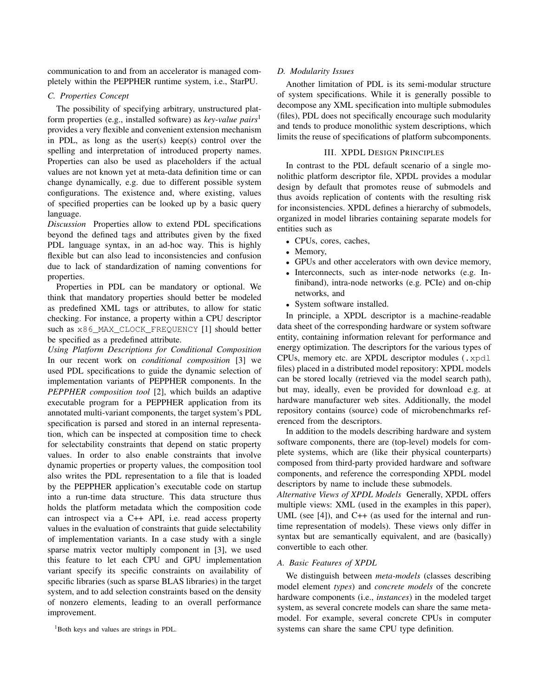communication to and from an accelerator is managed completely within the PEPPHER runtime system, i.e., StarPU.

# *C. Properties Concept*

The possibility of specifying arbitrary, unstructured platform properties (e.g., installed software) as *key-value pairs*<sup>1</sup> provides a very flexible and convenient extension mechanism in PDL, as long as the user(s) keep(s) control over the spelling and interpretation of introduced property names. Properties can also be used as placeholders if the actual values are not known yet at meta-data definition time or can change dynamically, e.g. due to different possible system configurations. The existence and, where existing, values of specified properties can be looked up by a basic query language.

*Discussion* Properties allow to extend PDL specifications beyond the defined tags and attributes given by the fixed PDL language syntax, in an ad-hoc way. This is highly flexible but can also lead to inconsistencies and confusion due to lack of standardization of naming conventions for properties.

Properties in PDL can be mandatory or optional. We think that mandatory properties should better be modeled as predefined XML tags or attributes, to allow for static checking. For instance, a property within a CPU descriptor such as x86\_MAX\_CLOCK\_FREQUENCY [1] should better be specified as a predefined attribute.

*Using Platform Descriptions for Conditional Composition* In our recent work on *conditional composition* [3] we used PDL specifications to guide the dynamic selection of implementation variants of PEPPHER components. In the *PEPPHER composition tool* [2], which builds an adaptive executable program for a PEPPHER application from its annotated multi-variant components, the target system's PDL specification is parsed and stored in an internal representation, which can be inspected at composition time to check for selectability constraints that depend on static property values. In order to also enable constraints that involve dynamic properties or property values, the composition tool also writes the PDL representation to a file that is loaded by the PEPPHER application's executable code on startup into a run-time data structure. This data structure thus holds the platform metadata which the composition code can introspect via a C++ API, i.e. read access property values in the evaluation of constraints that guide selectability of implementation variants. In a case study with a single sparse matrix vector multiply component in [3], we used this feature to let each CPU and GPU implementation variant specify its specific constraints on availability of specific libraries (such as sparse BLAS libraries) in the target system, and to add selection constraints based on the density of nonzero elements, leading to an overall performance improvement.

# *D. Modularity Issues*

Another limitation of PDL is its semi-modular structure of system specifications. While it is generally possible to decompose any XML specification into multiple submodules (files), PDL does not specifically encourage such modularity and tends to produce monolithic system descriptions, which limits the reuse of specifications of platform subcomponents.

#### III. XPDL DESIGN PRINCIPLES

In contrast to the PDL default scenario of a single monolithic platform descriptor file, XPDL provides a modular design by default that promotes reuse of submodels and thus avoids replication of contents with the resulting risk for inconsistencies. XPDL defines a hierarchy of submodels, organized in model libraries containing separate models for entities such as

- CPUs, cores, caches,
- Memory,
- GPUs and other accelerators with own device memory,
- Interconnects, such as inter-node networks (e.g. Infiniband), intra-node networks (e.g. PCIe) and on-chip networks, and
- System software installed.

In principle, a XPDL descriptor is a machine-readable data sheet of the corresponding hardware or system software entity, containing information relevant for performance and energy optimization. The descriptors for the various types of CPUs, memory etc. are XPDL descriptor modules (.xpdl files) placed in a distributed model repository: XPDL models can be stored locally (retrieved via the model search path), but may, ideally, even be provided for download e.g. at hardware manufacturer web sites. Additionally, the model repository contains (source) code of microbenchmarks referenced from the descriptors.

In addition to the models describing hardware and system software components, there are (top-level) models for complete systems, which are (like their physical counterparts) composed from third-party provided hardware and software components, and reference the corresponding XPDL model descriptors by name to include these submodels.

*Alternative Views of XPDL Models* Generally, XPDL offers multiple views: XML (used in the examples in this paper), UML (see [4]), and C++ (as used for the internal and runtime representation of models). These views only differ in syntax but are semantically equivalent, and are (basically) convertible to each other.

# *A. Basic Features of XPDL*

We distinguish between *meta-models* (classes describing model element *types*) and *concrete models* of the concrete hardware components (i.e., *instances*) in the modeled target system, as several concrete models can share the same metamodel. For example, several concrete CPUs in computer systems can share the same CPU type definition.

<sup>1</sup>Both keys and values are strings in PDL.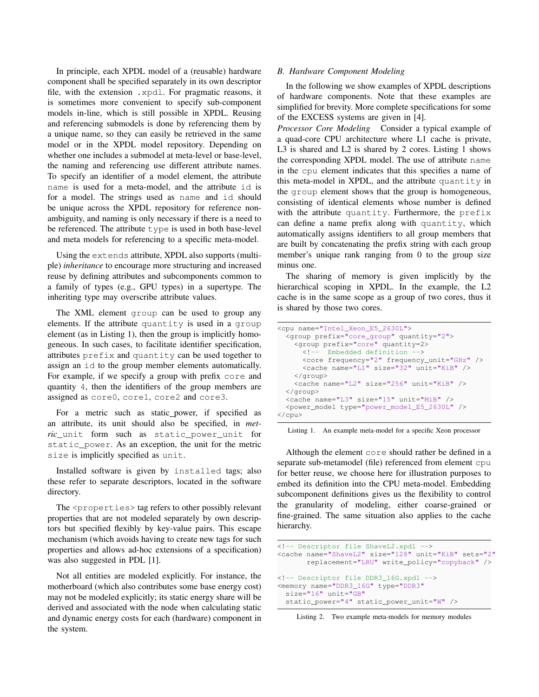In principle, each XPDL model of a (reusable) hardware component shall be specified separately in its own descriptor file, with the extension .xpdl. For pragmatic reasons, it is sometimes more convenient to specify sub-component models in-line, which is still possible in XPDL. Reusing and referencing submodels is done by referencing them by a unique name, so they can easily be retrieved in the same model or in the XPDL model repository. Depending on whether one includes a submodel at meta-level or base-level, the naming and referencing use different attribute names. To specify an identifier of a model element, the attribute name is used for a meta-model, and the attribute id is for a model. The strings used as name and id should be unique across the XPDL repository for reference nonambiguity, and naming is only necessary if there is a need to be referenced. The attribute type is used in both base-level and meta models for referencing to a specific meta-model.

Using the extends attribute, XPDL also supports (multiple) *inheritance* to encourage more structuring and increased reuse by defining attributes and subcomponents common to a family of types (e.g., GPU types) in a supertype. The inheriting type may overscribe attribute values.

The XML element group can be used to group any elements. If the attribute quantity is used in a group element (as in Listing 1), then the group is implicitly homogeneous. In such cases, to facilitate identifier specification, attributes prefix and quantity can be used together to assign an id to the group member elements automatically. For example, if we specify a group with prefix core and quantity 4, then the identifiers of the group members are assigned as core0, core1, core2 and core3.

For a metric such as static power, if specified as an attribute, its unit should also be specified, in *met*ric unit form such as static power unit for static\_power. As an exception, the unit for the metric size is implicitly specified as unit.

Installed software is given by installed tags; also these refer to separate descriptors, located in the software directory.

The <properties> tag refers to other possibly relevant properties that are not modeled separately by own descriptors but specified flexibly by key-value pairs. This escape mechanism (which avoids having to create new tags for such properties and allows ad-hoc extensions of a specification) was also suggested in PDL [1].

Not all entities are modeled explicitly. For instance, the motherboard (which also contributes some base energy cost) may not be modeled explicitly; its static energy share will be derived and associated with the node when calculating static and dynamic energy costs for each (hardware) component in the system.

## *B. Hardware Component Modeling*

In the following we show examples of XPDL descriptions of hardware components. Note that these examples are simplified for brevity. More complete specifications for some of the EXCESS systems are given in [4].

*Processor Core Modeling* Consider a typical example of a quad-core CPU architecture where L1 cache is private, L3 is shared and L2 is shared by 2 cores. Listing 1 shows the corresponding XPDL model. The use of attribute name in the cpu element indicates that this specifies a name of this meta-model in XPDL, and the attribute quantity in the group element shows that the group is homogeneous, consisting of identical elements whose number is defined with the attribute quantity. Furthermore, the prefix can define a name prefix along with quantity, which automatically assigns identifiers to all group members that are built by concatenating the prefix string with each group member's unique rank ranging from 0 to the group size minus one.

The sharing of memory is given implicitly by the hierarchical scoping in XPDL. In the example, the L2 cache is in the same scope as a group of two cores, thus it is shared by those two cores.

| <cpu name="Intel_Xeon_E5_2630L"></cpu>                  |
|---------------------------------------------------------|
| <group prefix="core_group" quantity="2"></group>        |
| <group prefix="core" quantity="2"></group>              |
| Embedded definition                                     |
| <core frequency="2" frequency_unit="GHz"></core>        |
| <cache name="L1" size="32" unit="KiB"></cache>          |
|                                                         |
| <cache name="L2" size="256" unit="KiB"></cache>         |
|                                                         |
| <cache name="L3" size="15" unit="MiB"></cache>          |
| <power_model type="power_model_E5_2630L"></power_model> |
|                                                         |
|                                                         |

Listing 1. An example meta-model for a specific Xeon processor

Although the element core should rather be defined in a separate sub-metamodel (file) referenced from element cpu for better reuse, we choose here for illustration purposes to embed its definition into the CPU meta-model. Embedding subcomponent definitions gives us the flexibility to control the granularity of modeling, either coarse-grained or fine-grained. The same situation also applies to the cache hierarchy.

```
<!-- Descriptor file ShaveL2.xpdl -->
<cache name="ShaveL2" size="128" unit="KiB" sets="2"
       replacement="LRU" write_policy="copyback" />
<!-- Descriptor file DDR3_16G.xpdl -->
<memory name="DDR3_16G" type="DDR3"
  size="16" unit="GB"
  static_power="4" static_power_unit="W" />
```
Listing 2. Two example meta-models for memory modules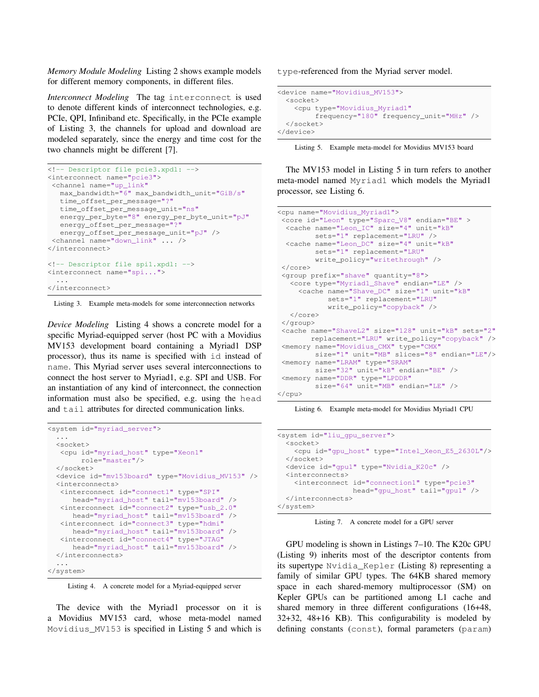*Memory Module Modeling* Listing 2 shows example models for different memory components, in different files.

*Interconnect Modeling* The tag interconnect is used to denote different kinds of interconnect technologies, e.g. PCIe, QPI, Infiniband etc. Specifically, in the PCIe example of Listing 3, the channels for upload and download are modeled separately, since the energy and time cost for the two channels might be different [7].

```
<!-- Descriptor file pcie3.xpdl: -->
<interconnect name="pcie3">
 <channel name="up_link"
  max bandwidth="6" max bandwidth unit="GiB/s"
   time_offset_per_message="?"
   time_offset_per_message_unit="ns"
   energy_per_byte="8" energy_per_byte_unit="pJ"
   energy_offset_per_message="?"
   energy_offset_per_message_unit="pJ" />
 <channel name="down_link" ... />
</interconnect>
<!-- Descriptor file spi1.xpdl: -->
<interconnect name="spi...">
  ...
</interconnect>
```
Listing 3. Example meta-models for some interconnection networks

*Device Modeling* Listing 4 shows a concrete model for a specific Myriad-equipped server (host PC with a Movidius MV153 development board containing a Myriad1 DSP processor), thus its name is specified with id instead of name. This Myriad server uses several interconnections to connect the host server to Myriad1, e.g. SPI and USB. For an instantiation of any kind of interconnect, the connection information must also be specified, e.g. using the head and tail attributes for directed communication links.

```
<system id="myriad_server">
  ...
 <socket>
   <cpu id="myriad_host" type="Xeon1"
       role="master"/>
  </socket>
 <device id="mv153board" type="Movidius_MV153" />
  <interconnects>
   <interconnect id="connect1" type="SPI"
     head="myriad_host" tail="mv153board" />
  <interconnect id="connect2" type="usb_2.0"
     head="myriad_host" tail="mv153board" />
  <interconnect id="connect3" type="hdmi"
     head="myriad_host" tail="mv153board"
   <interconnect id="connect4" type="JTAG"
     head="myriad_host" tail="mv153board" />
  </interconnects>
  ...
</system>
```
Listing 4. A concrete model for a Myriad-equipped server

The device with the Myriad1 processor on it is a Movidius MV153 card, whose meta-model named Movidius\_MV153 is specified in Listing 5 and which is type-referenced from the Myriad server model.

```
<device name="Movidius_MV153">
 <socket>
   <cpu type="Movidius_Myriad1"
         frequency="180" frequency_unit="MHz" />
 </socket>
</device>
```
Listing 5. Example meta-model for Movidius MV153 board

The MV153 model in Listing 5 in turn refers to another meta-model named Myriad1 which models the Myriad1 processor, see Listing 6.

```
<cpu name="Movidius_Myriad1">
<core id="Leon" type="Sparc_V8" endian="BE" >
 <cache name="Leon_IC" size="4" unit="kB"
        sets="1" replacement="LRU" />
 <cache name="Leon_DC" size="4" unit="kB"
        sets="1" replacement="LRU"
        write_policy="writethrough" />
</core>
<group prefix="shave" quantity="8">
  <core type="Myriad1_Shave" endian="LE" />
    <cache name="Shave_DC" size="1" unit="kB"
           sets="1" replacement="LRU"
           write_policy="copyback" />
  </core>
</group>
<cache name="ShaveL2" size="128" unit="kB" sets="2"
       replacement="LRU" write_policy="copyback" />
 <memory name="Movidius_CMX" type="CMX"
        size="1" unit="MB" slices="8" endian="LE"/>
 <memory name="LRAM" type="SRAM"
        size="32" unit="kB" endian="BE" />
<memory name="DDR" type="LPDDR"
        size="64" unit="MB" endian="LE" />
</cpu>
```
Listing 6. Example meta-model for Movidius Myriad1 CPU

| <system id="liu_qpu_server"></system>                                  |
|------------------------------------------------------------------------|
| <socket></socket>                                                      |
| <cpu id="qpu_host" type="Intel_Xeon_E5_2630L"></cpu>                   |
|                                                                        |
| <device id="qpul" type="Nvidia_K20c"></device>                         |
| <interconnects></interconnects>                                        |
| <interconnect <="" id="connection1" td="" type="pcie3"></interconnect> |
| head="qpu_host" tail="qpul" />                                         |
|                                                                        |
| $\langle$ /system>                                                     |

Listing 7. A concrete model for a GPU server

GPU modeling is shown in Listings 7–10. The K20c GPU (Listing 9) inherits most of the descriptor contents from its supertype Nvidia\_Kepler (Listing 8) representing a family of similar GPU types. The 64KB shared memory space in each shared-memory multiprocessor (SM) on Kepler GPUs can be partitioned among L1 cache and shared memory in three different configurations (16+48, 32+32, 48+16 KB). This configurability is modeled by defining constants (const), formal parameters (param)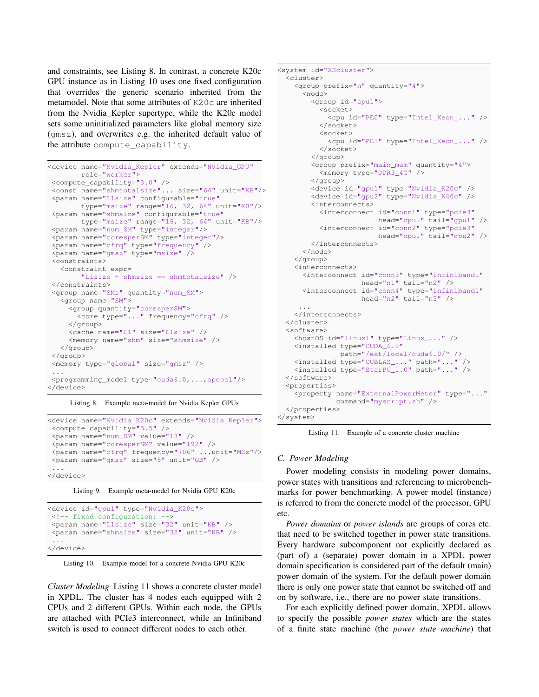and constraints, see Listing 8. In contrast, a concrete K20c GPU instance as in Listing 10 uses one fixed configuration that overrides the generic scenario inherited from the metamodel. Note that some attributes of K20c are inherited from the Nvidia Kepler supertype, while the K20c model sets some uninitialized parameters like global memory size (gmsz), and overwrites e.g. the inherited default value of the attribute compute\_capability.

```
<device name="Nvidia_Kepler" extends="Nvidia_GPU"
       role="worker">
<compute_capability="3.0" />
 <const name="shmtotalsize"... size="64" unit="KB"/>
 <param name="L1size" configurable="true"
       type="msize" range="16, 32, 64" unit="KB"/>
 <param name="shmsize" configurable="true"
       type="msize" range="16, 32, 64" unit="KB"/>
<param name="num_SM" type="integer"/>
<param name="coresperSM" type="integer"/>
<param name="cfrq" type="frequency" />
 <param name="gmsz" type="msize" />
<constraints>
   <constraint expr=
       "L1size + shmsize == shmtotalsize" />
</constraints>
 <group name="SMs" quantity="num_SM">
  <group name="SM">
    <group quantity="coresperSM">
      <core type="..." frequency="cfrq" />
     </group>
    <cache name="L1" size="L1size" />
    <memory name="shm" size="shmsize" />
   </group>
</group>
 <memory type="global" size="gmsz" />
 ...
<programming_model type="cuda6.0,...,opencl"/>
</device>
```
Listing 8. Example meta-model for Nvidia Kepler GPUs

```
<device name="Nvidia_K20c" extends="Nvidia_Kepler">
<compute_capability="3.5" />
<param name="num_SM" value="13" />
<param name="coresperSM" value="192" />
<param name="cfrq" frequency="706" ...unit="MHz"/>
<param name="gmsz" size="5" unit="GB" />
 ...
</device>
```


```
<device id="gpu1" type="Nvidia_K20c">
<!-- fixed configuration: -->
<param name="L1size" size="32" unit="KB" />
<param name="shmsize" size="32" unit="KB" />
 ...
</device>
```
Listing 10. Example model for a concrete Nvidia GPU K20c

*Cluster Modeling* Listing 11 shows a concrete cluster model in XPDL. The cluster has 4 nodes each equipped with 2 CPUs and 2 different GPUs. Within each node, the GPUs are attached with PCIe3 interconnect, while an Infiniband switch is used to connect different nodes to each other.

```
<system id="XScluster">
 <cluster>
    <group prefix="n" quantity="4">
     <node>
       <group id="cpu1">
          <socket>
            <cpu id="PE0" type="Intel_Xeon_..." />
          </socket>
          <socket>
            <cpu id="PE1" type="Intel_Xeon_..." />
          </socket>
        </group>
        <group prefix="main_mem" quantity="4">
          <memory type="DDR3_4G" />
        </group>
        <device id="gpu1" type="Nvidia_K20c" />
        <device id="gpu2" type="Nvidia_K40c" />
        <interconnects>
          <interconnect id="conn1" type="pcie3"
                        head="cpu1" tail="gpu1" />
          <interconnect id="conn2" type="pcie3"
                        head="cpu1" tail="gpu2" />
        </interconnects>
     </node>
    </group>
    <interconnects>
     <interconnect id="conn3" type="infiniband1"
                    head="n1" tail="n2" />
     <interconnect id="conn4" type="infiniband1"
                    head="n2" tail="n3" />
     ...
    </interconnects>
 </cluster>
 <software>
    <hostOS id="linux1" type="Linux_..." />
    <installed type="CUDA_6.0"
              path="/ext/local/cuda6.0/" />
    <installed type="CUBLAS_..." path="..." />
    <installed type="StarPU_1.0" path="..." />
 </software>
  <properties>
    <property name="ExternalPowerMeter" type="..."
              command="myscript.sh" />
 </properties>
</system>
```
Listing 11. Example of a concrete cluster machine

## *C. Power Modeling*

Power modeling consists in modeling power domains, power states with transitions and referencing to microbenchmarks for power benchmarking. A power model (instance) is referred to from the concrete model of the processor, GPU etc.

*Power domains* or *power islands* are groups of cores etc. that need to be switched together in power state transitions. Every hardware subcomponent not explicitly declared as (part of) a (separate) power domain in a XPDL power domain specification is considered part of the default (main) power domain of the system. For the default power domain there is only one power state that cannot be switched off and on by software, i.e., there are no power state transitions.

For each explicitly defined power domain, XPDL allows to specify the possible *power states* which are the states of a finite state machine (the *power state machine*) that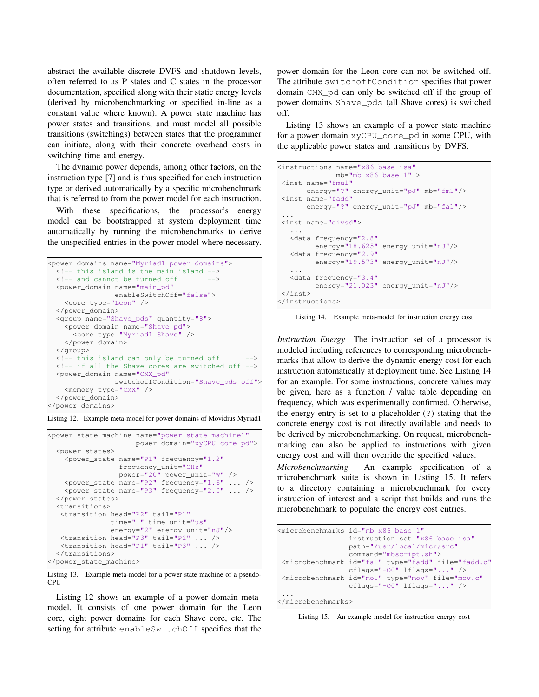abstract the available discrete DVFS and shutdown levels, often referred to as P states and C states in the processor documentation, specified along with their static energy levels (derived by microbenchmarking or specified in-line as a constant value where known). A power state machine has power states and transitions, and must model all possible transitions (switchings) between states that the programmer can initiate, along with their concrete overhead costs in switching time and energy.

The dynamic power depends, among other factors, on the instruction type [7] and is thus specified for each instruction type or derived automatically by a specific microbenchmark that is referred to from the power model for each instruction.

With these specifications, the processor's energy model can be bootstrapped at system deployment time automatically by running the microbenchmarks to derive the unspecified entries in the power model where necessary.

```
<power_domains name="Myriad1_power_domains">
 <!-- this island is the main island -->
 <!-- and cannot be turned off -->
  <power_domain name="main_pd"
                 enableSwitchOff="false">
    <core type="Leon" />
 </power_domain>
  <group name="Shave_pds" quantity="8">
    <power_domain name="Shave_pd">
      <core type="Myriad1_Shave" />
    </power_domain>
 </group>
 \langle!-- this island can only be turned off \longrightarrow\left\langle -\right\rangle if all the Shave cores are switched off \left\langle -\right\rangle<power_domain name="CMX_pd"
                 switchoffCondition="Shave_pds off">
    <memory type="CMX" />
 </power_domain>
</power_domains>
```
Listing 12. Example meta-model for power domains of Movidius Myriad1

```
<power_state_machine name="power_state_machine1"
                     power_domain="xyCPU_core_pd">
 <power_states>
   <power_state name="P1" frequency="1.2"
                 frequency_unit="GHz"
                 power="20" power_unit="W" />
   <power_state name="P2" frequency="1.6" ... />
   <power_state name="P3" frequency="2.0" ... />
 </power_states>
 <transitions>
  <transition head="P2" tail="P1"
              time="1" time_unit="us"
              energy="2" energy_unit="nJ"/>
   <transition head="P3" tail="P2" ... />
   <transition head="P1" tail="P3" ... />
 </transitions>
</power_state_machine>
```
Listing 13. Example meta-model for a power state machine of a pseudo-CPU

Listing 12 shows an example of a power domain metamodel. It consists of one power domain for the Leon core, eight power domains for each Shave core, etc. The setting for attribute enableSwitchOff specifies that the power domain for the Leon core can not be switched off. The attribute switchoffCondition specifies that power domain CMX\_pd can only be switched off if the group of power domains Shave\_pds (all Shave cores) is switched off.

Listing 13 shows an example of a power state machine for a power domain xyCPU\_core\_pd in some CPU, with the applicable power states and transitions by DVFS.

```
<instructions name="x86_base_isa"
             mb="mb_x86_base_1" >
 <inst name="fmul"
      energy="?" energy_unit="pJ" mb="fm1"/>
<inst name="fadd"
      energy="?" energy_unit="pJ" mb="fa1"/>
 ...
<inst name="divsd">
   ...
  <data frequency="2.8"
         energy="18.625" energy_unit="nJ"/>
  <data frequency="2.9"
        energy="19.573" energy_unit="nJ"/>
  <data frequency="3.4"
        energy="21.023" energy_unit="nJ"/>
\langle/inst\rangle</instructions>
```
Listing 14. Example meta-model for instruction energy cost

*Instruction Energy* The instruction set of a processor is modeled including references to corresponding microbenchmarks that allow to derive the dynamic energy cost for each instruction automatically at deployment time. See Listing 14 for an example. For some instructions, concrete values may be given, here as a function / value table depending on frequency, which was experimentally confirmed. Otherwise, the energy entry is set to a placeholder (?) stating that the concrete energy cost is not directly available and needs to be derived by microbenchmarking. On request, microbenchmarking can also be applied to instructions with given energy cost and will then override the specified values.

*Microbenchmarking* An example specification of a microbenchmark suite is shown in Listing 15. It refers to a directory containing a microbenchmark for every instruction of interest and a script that builds and runs the microbenchmark to populate the energy cost entries.

|  | <microbenchmarks <="" id="mb x86 base 1" td=""></microbenchmarks>               |  |
|--|---------------------------------------------------------------------------------|--|
|  | instruction set="x86 base isa"                                                  |  |
|  | path="/usr/local/micr/src"                                                      |  |
|  | command="mbscript.sh">                                                          |  |
|  | <microbenchmark <="" file="fadd.c" id="fal" td="" type="fadd"></microbenchmark> |  |
|  | cflags="-00" lflags="" />                                                       |  |
|  | <microbenchmark <="" file="mov.c" id="mo1" td="" type="mov"></microbenchmark>   |  |
|  | cflags="-00" lflags="" />                                                       |  |
|  |                                                                                 |  |
|  |                                                                                 |  |

Listing 15. An example model for instruction energy cost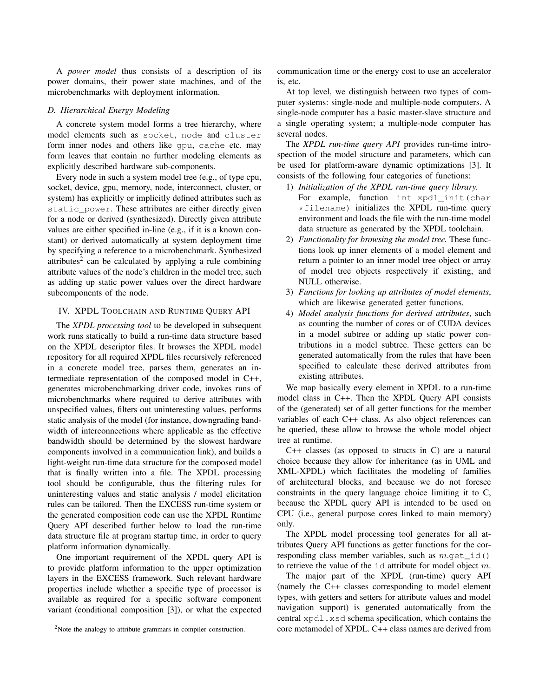A *power model* thus consists of a description of its power domains, their power state machines, and of the microbenchmarks with deployment information.

## *D. Hierarchical Energy Modeling*

A concrete system model forms a tree hierarchy, where model elements such as socket, node and cluster form inner nodes and others like gpu, cache etc. may form leaves that contain no further modeling elements as explicitly described hardware sub-components.

Every node in such a system model tree (e.g., of type cpu, socket, device, gpu, memory, node, interconnect, cluster, or system) has explicitly or implicitly defined attributes such as static\_power. These attributes are either directly given for a node or derived (synthesized). Directly given attribute values are either specified in-line (e.g., if it is a known constant) or derived automatically at system deployment time by specifying a reference to a microbenchmark. Synthesized attributes<sup>2</sup> can be calculated by applying a rule combining attribute values of the node's children in the model tree, such as adding up static power values over the direct hardware subcomponents of the node.

# IV. XPDL TOOLCHAIN AND RUNTIME QUERY API

The *XPDL processing tool* to be developed in subsequent work runs statically to build a run-time data structure based on the XPDL descriptor files. It browses the XPDL model repository for all required XPDL files recursively referenced in a concrete model tree, parses them, generates an intermediate representation of the composed model in C++, generates microbenchmarking driver code, invokes runs of microbenchmarks where required to derive attributes with unspecified values, filters out uninteresting values, performs static analysis of the model (for instance, downgrading bandwidth of interconnections where applicable as the effective bandwidth should be determined by the slowest hardware components involved in a communication link), and builds a light-weight run-time data structure for the composed model that is finally written into a file. The XPDL processing tool should be configurable, thus the filtering rules for uninteresting values and static analysis / model elicitation rules can be tailored. Then the EXCESS run-time system or the generated composition code can use the XPDL Runtime Query API described further below to load the run-time data structure file at program startup time, in order to query platform information dynamically.

One important requirement of the XPDL query API is to provide platform information to the upper optimization layers in the EXCESS framework. Such relevant hardware properties include whether a specific type of processor is available as required for a specific software component variant (conditional composition [3]), or what the expected communication time or the energy cost to use an accelerator is, etc.

At top level, we distinguish between two types of computer systems: single-node and multiple-node computers. A single-node computer has a basic master-slave structure and a single operating system; a multiple-node computer has several nodes.

The *XPDL run-time query API* provides run-time introspection of the model structure and parameters, which can be used for platform-aware dynamic optimizations [3]. It consists of the following four categories of functions:

- 1) *Initialization of the XPDL run-time query library.* For example, function int xpdl init(char \*filename) initializes the XPDL run-time query environment and loads the file with the run-time model data structure as generated by the XPDL toolchain.
- 2) *Functionality for browsing the model tree.* These functions look up inner elements of a model element and return a pointer to an inner model tree object or array of model tree objects respectively if existing, and NULL otherwise.
- 3) *Functions for looking up attributes of model elements*, which are likewise generated getter functions.
- 4) *Model analysis functions for derived attributes*, such as counting the number of cores or of CUDA devices in a model subtree or adding up static power contributions in a model subtree. These getters can be generated automatically from the rules that have been specified to calculate these derived attributes from existing attributes.

We map basically every element in XPDL to a run-time model class in C++. Then the XPDL Query API consists of the (generated) set of all getter functions for the member variables of each C++ class. As also object references can be queried, these allow to browse the whole model object tree at runtime.

C++ classes (as opposed to structs in C) are a natural choice because they allow for inheritance (as in UML and XML-XPDL) which facilitates the modeling of families of architectural blocks, and because we do not foresee constraints in the query language choice limiting it to C, because the XPDL query API is intended to be used on CPU (i.e., general purpose cores linked to main memory) only.

The XPDL model processing tool generates for all attributes Query API functions as getter functions for the corresponding class member variables, such as  $m.get_id()$ to retrieve the value of the  $id$  attribute for model object m.

The major part of the XPDL (run-time) query API (namely the C++ classes corresponding to model element types, with getters and setters for attribute values and model navigation support) is generated automatically from the central xpdl.xsd schema specification, which contains the core metamodel of XPDL. C++ class names are derived from

<sup>&</sup>lt;sup>2</sup>Note the analogy to attribute grammars in compiler construction.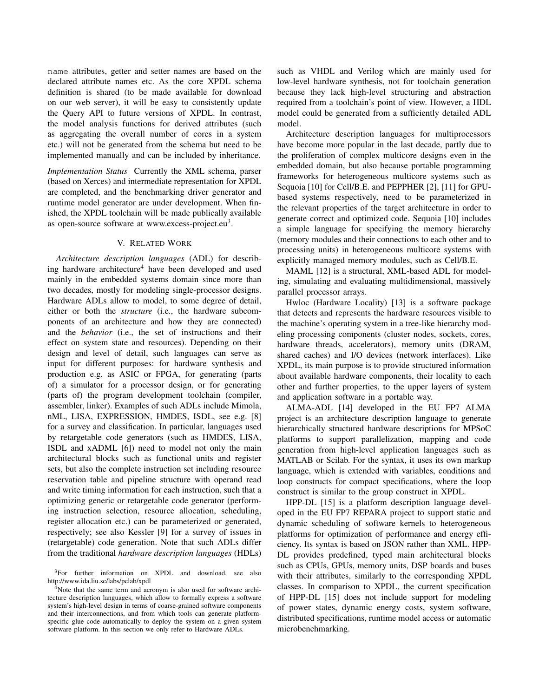name attributes, getter and setter names are based on the declared attribute names etc. As the core XPDL schema definition is shared (to be made available for download on our web server), it will be easy to consistently update the Query API to future versions of XPDL. In contrast, the model analysis functions for derived attributes (such as aggregating the overall number of cores in a system etc.) will not be generated from the schema but need to be implemented manually and can be included by inheritance.

*Implementation Status* Currently the XML schema, parser (based on Xerces) and intermediate representation for XPDL are completed, and the benchmarking driver generator and runtime model generator are under development. When finished, the XPDL toolchain will be made publically available as open-source software at www.excess-project.eu<sup>3</sup>.

### V. RELATED WORK

*Architecture description languages* (ADL) for describing hardware architecture<sup>4</sup> have been developed and used mainly in the embedded systems domain since more than two decades, mostly for modeling single-processor designs. Hardware ADLs allow to model, to some degree of detail, either or both the *structure* (i.e., the hardware subcomponents of an architecture and how they are connected) and the *behavior* (i.e., the set of instructions and their effect on system state and resources). Depending on their design and level of detail, such languages can serve as input for different purposes: for hardware synthesis and production e.g. as ASIC or FPGA, for generating (parts of) a simulator for a processor design, or for generating (parts of) the program development toolchain (compiler, assembler, linker). Examples of such ADLs include Mimola, nML, LISA, EXPRESSION, HMDES, ISDL, see e.g. [8] for a survey and classification. In particular, languages used by retargetable code generators (such as HMDES, LISA, ISDL and xADML [6]) need to model not only the main architectural blocks such as functional units and register sets, but also the complete instruction set including resource reservation table and pipeline structure with operand read and write timing information for each instruction, such that a optimizing generic or retargetable code generator (performing instruction selection, resource allocation, scheduling, register allocation etc.) can be parameterized or generated, respectively; see also Kessler [9] for a survey of issues in (retargetable) code generation. Note that such ADLs differ from the traditional *hardware description languages* (HDLs) such as VHDL and Verilog which are mainly used for low-level hardware synthesis, not for toolchain generation because they lack high-level structuring and abstraction required from a toolchain's point of view. However, a HDL model could be generated from a sufficiently detailed ADL model.

Architecture description languages for multiprocessors have become more popular in the last decade, partly due to the proliferation of complex multicore designs even in the embedded domain, but also because portable programming frameworks for heterogeneous multicore systems such as Sequoia [10] for Cell/B.E. and PEPPHER [2], [11] for GPUbased systems respectively, need to be parameterized in the relevant properties of the target architecture in order to generate correct and optimized code. Sequoia [10] includes a simple language for specifying the memory hierarchy (memory modules and their connections to each other and to processing units) in heterogeneous multicore systems with explicitly managed memory modules, such as Cell/B.E.

MAML [12] is a structural, XML-based ADL for modeling, simulating and evaluating multidimensional, massively parallel processor arrays.

Hwloc (Hardware Locality) [13] is a software package that detects and represents the hardware resources visible to the machine's operating system in a tree-like hierarchy modeling processing components (cluster nodes, sockets, cores, hardware threads, accelerators), memory units (DRAM, shared caches) and I/O devices (network interfaces). Like XPDL, its main purpose is to provide structured information about available hardware components, their locality to each other and further properties, to the upper layers of system and application software in a portable way.

ALMA-ADL [14] developed in the EU FP7 ALMA project is an architecture description language to generate hierarchically structured hardware descriptions for MPSoC platforms to support parallelization, mapping and code generation from high-level application languages such as MATLAB or Scilab. For the syntax, it uses its own markup language, which is extended with variables, conditions and loop constructs for compact specifications, where the loop construct is similar to the group construct in XPDL.

HPP-DL [15] is a platform description language developed in the EU FP7 REPARA project to support static and dynamic scheduling of software kernels to heterogeneous platforms for optimization of performance and energy efficiency. Its syntax is based on JSON rather than XML. HPP-DL provides predefined, typed main architectural blocks such as CPUs, GPUs, memory units, DSP boards and buses with their attributes, similarly to the corresponding XPDL classes. In comparison to XPDL, the current specification of HPP-DL [15] does not include support for modeling of power states, dynamic energy costs, system software, distributed specifications, runtime model access or automatic microbenchmarking.

<sup>&</sup>lt;sup>3</sup>For further information on XPDL and download, see also http://www.ida.liu.se/labs/pelab/xpdl

<sup>&</sup>lt;sup>4</sup>Note that the same term and acronym is also used for software architecture description languages, which allow to formally express a software system's high-level design in terms of coarse-grained software components and their interconnections, and from which tools can generate platformspecific glue code automatically to deploy the system on a given system software platform. In this section we only refer to Hardware ADLs.